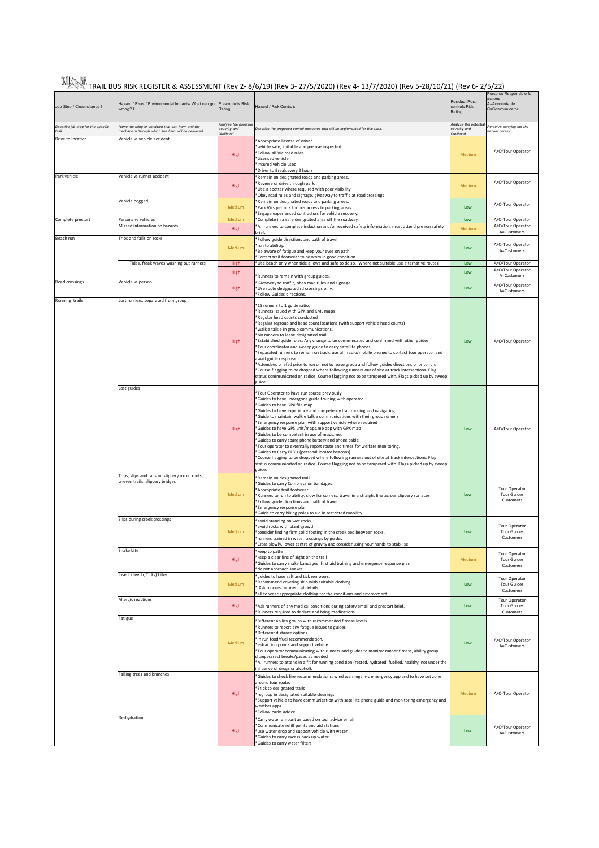| WA TRAIL BUS RISK REGISTER & ASSESSMENT (Rev 2- 8/6/19) (Rev 3- 27/5/2020) (Rev 4- 13/7/2020) (Rev 5-28/10/21) (Rev 6- 2/5/22) [ |
|----------------------------------------------------------------------------------------------------------------------------------|

|                                            |                                                                                                          |                                                   | ∕∕ ∕∕∖ TRAIL BUS KISK KEGISTEK & ASSESSIVIENT (ReV Z- 8/0/19) (ReV 3- 27/3/2020) (ReV 4- 13/7/2020) (ReV 3-28/10/21) (ReV 0- 2/3/22)                                                                                                                                                                                                                                                                                                                                                                                                                                                                                                                                                                                                                                                                                                                                                    |                                                  |                                                                        |
|--------------------------------------------|----------------------------------------------------------------------------------------------------------|---------------------------------------------------|-----------------------------------------------------------------------------------------------------------------------------------------------------------------------------------------------------------------------------------------------------------------------------------------------------------------------------------------------------------------------------------------------------------------------------------------------------------------------------------------------------------------------------------------------------------------------------------------------------------------------------------------------------------------------------------------------------------------------------------------------------------------------------------------------------------------------------------------------------------------------------------------|--------------------------------------------------|------------------------------------------------------------------------|
| Job Step / Circumstance I                  | Hazard / Risks / Environmental Impacts- What can go Pre-controls Risk<br>wrong? I                        | Rating                                            | Hazard / Risk Controls                                                                                                                                                                                                                                                                                                                                                                                                                                                                                                                                                                                                                                                                                                                                                                                                                                                                  | Residual Post-<br>controls Risk<br>Rating        | Person/s Responsible for<br>actions<br>A=Accountable<br>C=Communicator |
| Describe job step for the specific<br>task | Name the thing or condition that can harm and the<br>mechanism through which the harm will be delivered. | Analyse the potentia<br>severity and<br>ikelihood | Describe the proposed control measures that will be implemented for this task.                                                                                                                                                                                                                                                                                                                                                                                                                                                                                                                                                                                                                                                                                                                                                                                                          | Analyse the potentia<br>severity and<br>kelihood | Person/s carrying out the<br>azard control.                            |
| Drive to location                          | Vehicle vs vehicle accident                                                                              | High                                              | Appropriate license of driver<br>vehicle safe, suitable and pre use inspected.<br>*Follow all Vic road rules.<br>*Licensed vehicle.<br>*Insured vehicle used<br>*Driver to Break every 2 hours                                                                                                                                                                                                                                                                                                                                                                                                                                                                                                                                                                                                                                                                                          | Medium                                           | A/C=Tour Operator                                                      |
| Park vehicle                               | Vehicle vs runner accident                                                                               | High                                              | *Remain on designated roads and parking areas.<br>*Reverse or drive through park.<br>*Use a spotter where required with poor visibility<br>*Obey road rules and signage, giveaway to traffic at road crossings                                                                                                                                                                                                                                                                                                                                                                                                                                                                                                                                                                                                                                                                          | Medium                                           | A/C=Tour Operator                                                      |
|                                            | Vehicle bogged                                                                                           | Medium                                            | *Remain on designated roads and parking areas.<br>*Park Vics permits for bus access to parking areas<br>*Engage experienced contractors for vehicle recovery.                                                                                                                                                                                                                                                                                                                                                                                                                                                                                                                                                                                                                                                                                                                           | Low                                              | A/C=Tour Operator                                                      |
| Complete prestart                          | Persons vs vehicles<br>Missed information on hazards                                                     | Medium<br>High                                    | *Complete in a safe designated area off the roadway.<br>*All runners to complete induction and/or received safety information, must attend pre run safety                                                                                                                                                                                                                                                                                                                                                                                                                                                                                                                                                                                                                                                                                                                               | Low<br>Medium                                    | A/C=Tour Operator<br>A/C=Tour Operator                                 |
| Beach run                                  | Trips and falls on rocks                                                                                 | Medium                                            | brief.<br>*Follow guide directions and path of travel<br>*run to abilitiy.<br>*Be aware of fatigue and keep your eyes on path.                                                                                                                                                                                                                                                                                                                                                                                                                                                                                                                                                                                                                                                                                                                                                          | Low                                              | A=Customers<br>A/C=Tour Operator<br>A=Customers                        |
|                                            | Tides, freak waves washing out runners                                                                   | High                                              | *Correct trail footwear to be worn in good condition<br>*Use beach only when tide allows and safe to do so. Where not suitable use alternative routes                                                                                                                                                                                                                                                                                                                                                                                                                                                                                                                                                                                                                                                                                                                                   | Low                                              | A/C=Tour Operator                                                      |
|                                            |                                                                                                          | High                                              | *Runners to remain with group guides.                                                                                                                                                                                                                                                                                                                                                                                                                                                                                                                                                                                                                                                                                                                                                                                                                                                   | Low                                              | A/C=Tour Operator<br>A=Customers                                       |
| Road crossings                             | Vehicle vs person                                                                                        | High                                              | *Giveaway to traffic, obey road rules and signage<br>*Use route designated rd crossings only.<br>*Follow Guides directions.                                                                                                                                                                                                                                                                                                                                                                                                                                                                                                                                                                                                                                                                                                                                                             | Low                                              | A/C=Tour Operator<br>A=Customers                                       |
| Running trails                             | Lost runners, separated from group                                                                       | High                                              | *15 runners to 1 guide ratio,<br>*Runners issued with GPX and KML maps<br>*Regular head counts conducted<br>*Regular regroup and head count locations (with support vehicle head counts)<br>*walkie talkie in group communications.<br>*No runners to leave designated trail.<br>*Estabilshed guide roles. Any change to be commincated and confirmed with other guides<br>*Tour coordinator and sweep guide to carry satellite phones<br>*Separated runners to remain on track, use uhf radio/mobile phones to contact tour operator and<br>await guide response.<br>*Attendees briefed prior to run on not to leave group and follow guides directions prior to run.<br>*Course flagging to be dropped where following runners out of site at track intersections. Flag<br>status communicated on radios. Course flagging not to be tampered with. Flags picked up by sweep<br>guide. | Low                                              | A/C=Tour Operator                                                      |
|                                            | Lost guides                                                                                              | High                                              | *Tour Operator to have run course previously<br>*Guides to have undergone guide training with operator<br>*Guides to have GPX file map<br>*Guides to have experience and competency trail running and navigating<br>*Guide to maintain walkie talkie communications with their group runners<br>*Emergency response plan with support vehicle where required<br>*Guides to have GPS unit/maps.me app with GPX map<br>*Guides to be competent in use of maps.me,<br>*Guides to carry spare phone battery and phone cable<br>*Tour operator to externally report route and times for welfare monitoring.<br>*Guides to Carry PLB's (personal locator beacons)<br>*Course flagging to be dropped where following runners out of site at track intersections. Flag<br>status communicated on radios. Course flagging not to be tampered with. Flags picked up by sweep<br>guide.            | Low                                              | A/C=Tour Operator                                                      |
|                                            | Trips, slips and falls on slippery rocks, roots,<br>uneven trails, slippery bridges                      | Medium                                            | *Remain on designated trail<br>*Guides to carry Compression bandages<br>*Appropriate trail footwear<br>*Runners to run to ability, slow for corners, travel in a straight line across slippery surfaces<br>*Follow guide directions and path of travel<br>*Emergency response plan.<br>*Guide to carry hiking poles to aid in restricted mobility.                                                                                                                                                                                                                                                                                                                                                                                                                                                                                                                                      | <b>Low</b>                                       | Tour Operator<br><b>Tour Guides</b><br>Customers                       |
|                                            | Slips during creek crossings                                                                             | Medium                                            | *avoid standing on wet rocks<br>*avoid rocks with plant growth<br>*consider finding firm solid footing in the creek bed between rocks.<br>runners trained in water crossings by guides<br>*Cross slowly, lower centre of gravity and consider using your hands to stabilise.                                                                                                                                                                                                                                                                                                                                                                                                                                                                                                                                                                                                            | Low                                              | Tour Operator<br><b>Tour Guides</b><br>Customers                       |
|                                            | Snake bite                                                                                               | High                                              | *keep to paths<br>*keep a clear line of sight on the trail<br>*Guides to carry snake bandages, first aid training and emergency response plan<br>*do not approach snakes.                                                                                                                                                                                                                                                                                                                                                                                                                                                                                                                                                                                                                                                                                                               | Medium                                           | Tour Operator<br><b>Tour Guides</b><br>Customers                       |
|                                            | Insect (Leech, Ticks) bites                                                                              | Medium                                            | *guides to have salt and tick removers.<br>*Recommend covering skin with suitable clothing.<br>Ask runners for medical details.<br>*all to wear appropriate clothing for the conditions and environment                                                                                                                                                                                                                                                                                                                                                                                                                                                                                                                                                                                                                                                                                 | Low                                              | <b>Tour Operator</b><br><b>Tour Guides</b><br>Customers                |
|                                            | Allergic reactions                                                                                       | High                                              | *Ask runners of any medical conditions during safety email and prestart brief,<br>*Runners required to declare and bring medications                                                                                                                                                                                                                                                                                                                                                                                                                                                                                                                                                                                                                                                                                                                                                    | Low                                              | <b>Tour Operator</b><br><b>Tour Guides</b><br>Customers                |
|                                            | Fatigue                                                                                                  | Medium                                            | *Different ability groups with recommended fitness levels<br>*Runners to report any fatigue issues to guides<br>*Different distance options<br>*in run food/fuel recommendation,<br>*extraction points and support vehicle<br>*Tour operator communicating with runners and guides to monitor runner fitness, ability group<br>changes/rest breaks/paces as needed<br>*All runners to attend in a fit for running condition (rested, hydrated, fuelled, healthy, not under the<br>influence of drugs or alcohol).                                                                                                                                                                                                                                                                                                                                                                       | Low                                              | A/C=Tour Operator<br>A=Customers                                       |
|                                            | Falling trees and branches                                                                               | High                                              | *Guides to check fire recommendations, wind warnings, vic emergency app and to have set zone<br>around tour route.<br>*Stick to designated trails<br>*regroup in designated suitable clearings<br>*Support vehicle to have communication with satellite phone guide and monitoring emergency and<br>weather apps.<br>*Follow parks advice.                                                                                                                                                                                                                                                                                                                                                                                                                                                                                                                                              | Medium                                           | A/C=Tour Operator                                                      |
|                                            | De-hydration                                                                                             | High                                              | *Carry water amount as based on tour advice email<br>*Communicate refill points and aid stations<br>*use water drop and support vehicle with water<br>*Guides to carry excess back up water<br>*Guides to carry water filters                                                                                                                                                                                                                                                                                                                                                                                                                                                                                                                                                                                                                                                           | Low                                              | A/C=Tour Operator<br>A=Customers                                       |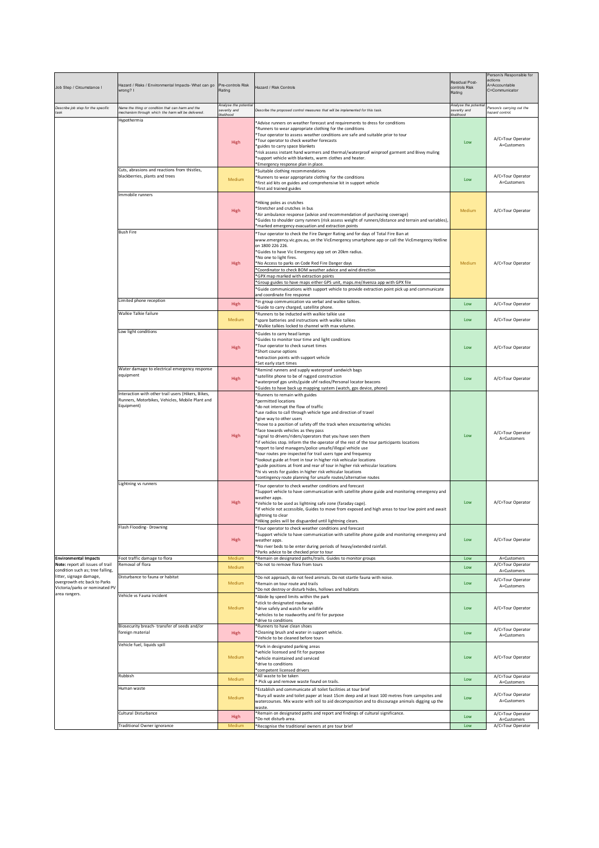| Job Step / Circumstance I                                                                                                                      | Hazard / Risks / Environmental Impacts- What can go<br>wrong? I                                                     | Pre-controls Risk<br>Rating                       | Hazard / Risk Controls                                                                                                                                                                                                                                                                                                                                                                                                                                                                                                                                                                                                                                                                                                                                                                                                                                                                                | Residual Post-<br>controls Risk<br>Rating         | Person/s Responsible for<br>actions<br>A=Accountable<br>C=Communicator |
|------------------------------------------------------------------------------------------------------------------------------------------------|---------------------------------------------------------------------------------------------------------------------|---------------------------------------------------|-------------------------------------------------------------------------------------------------------------------------------------------------------------------------------------------------------------------------------------------------------------------------------------------------------------------------------------------------------------------------------------------------------------------------------------------------------------------------------------------------------------------------------------------------------------------------------------------------------------------------------------------------------------------------------------------------------------------------------------------------------------------------------------------------------------------------------------------------------------------------------------------------------|---------------------------------------------------|------------------------------------------------------------------------|
| Describe job step for the specific<br>task                                                                                                     | Name the thing or condition that can harm and the<br>nechanism through which the harm will be delivered             | Analyse the potentia<br>severity and<br>ikelihood | Describe the proposed control measures that will be implemented for this task.                                                                                                                                                                                                                                                                                                                                                                                                                                                                                                                                                                                                                                                                                                                                                                                                                        | Analyse the potenti<br>severity and<br>likelihood | Person/s carrying out the<br>hazard control.                           |
|                                                                                                                                                | Hypothermia                                                                                                         | High                                              | Advise runners on weather forecast and requirements to dress for conditions<br>Runners to wear appropriate clothing for the conditions<br>*Tour operator to assess weather conditions are safe and suitable prior to tour<br>Tour operator to check weather forecasts<br>"guides to carry space blankets<br>*risk assess instant hand warmers and thermal/waterproof winproof garment and Bivvy muling<br>*support vehicle with blankets, warm clothes and heater.<br>*Emergency response plan in place.                                                                                                                                                                                                                                                                                                                                                                                              | Low                                               | A/C=Tour Operator<br>A=Customers                                       |
|                                                                                                                                                | Cuts, abrasions and reactions from thistles,<br>blackberries, plants and trees                                      | Medium                                            | *Suitable clothing recommendations<br>*Runners to wear appropriate clothing for the conditions<br>first aid kits on guides and comprehensive kit in support vehicle<br>first aid trained guides                                                                                                                                                                                                                                                                                                                                                                                                                                                                                                                                                                                                                                                                                                       | Low                                               | A/C=Tour Operator<br>A=Customers                                       |
|                                                                                                                                                | Immobile runners                                                                                                    | High                                              | *Hiking poles as crutches<br>*Stretcher and crutches in bus<br>*Air ambulance response (advice and recommendation of purchasing coverage)<br>*Guides to shoulder carry runners (risk assess weight of runners/distance and terrain and variables),<br>*marked emergency evacuation and extraction points                                                                                                                                                                                                                                                                                                                                                                                                                                                                                                                                                                                              | Medium                                            | A/C=Tour Operator                                                      |
|                                                                                                                                                | <b>Bush Fire</b>                                                                                                    | High                                              | *Tour operator to check the Fire Danger Rating and for days of Total Fire Ban at<br>www.emergency.vic.gov.au, on the VicEmergency smartphone app or call the VicEmergency Hotline<br>on 1800 226 226.<br>*Guides to have Vic Emergency app set on 20km radius.<br>*No one to light fires.<br>*No Access to parks on Code Red Fire Danger days<br>Coordinator to check BOM weather advice and wind direction<br>*GPX map marked with extraction points<br>Group guides to have maps either GPS unit, maps.me/Avenza app with GPX file<br>'Guide communications with support vehicle to provide extraction point pick up and communicate<br>and coordinate fire response                                                                                                                                                                                                                                | Medium                                            | A/C=Tour Operator                                                      |
|                                                                                                                                                | Limited phone reception                                                                                             | High                                              | *In group communication via verbal and walkie talkies.<br>*Guide to carry charged, satellite phone.                                                                                                                                                                                                                                                                                                                                                                                                                                                                                                                                                                                                                                                                                                                                                                                                   | Low                                               | A/C=Tour Operator                                                      |
|                                                                                                                                                | Walkie Talkie failure                                                                                               | Medium                                            | *Runners to be inducted with walkie talkie use<br>*spare batteries and instructions with walkie talkies<br>*Walkie talkies locked to channel with max volume.                                                                                                                                                                                                                                                                                                                                                                                                                                                                                                                                                                                                                                                                                                                                         | Low                                               | A/C=Tour Operator                                                      |
|                                                                                                                                                | Low light conditions                                                                                                | High                                              | <sup>*</sup> Guides to carry head lamps<br>*Guides to monitor tour time and light conditions<br>*Tour operator to check sunset times<br>*Short course options<br>*extraction points with support vehicle<br>*Set early start times                                                                                                                                                                                                                                                                                                                                                                                                                                                                                                                                                                                                                                                                    | Low                                               | A/C=Tour Operator                                                      |
|                                                                                                                                                | Water damage to electrical emergency response<br>equipment                                                          | High                                              | *Remind runners and supply waterproof sandwich bags<br>'satellite phone to be of rugged construction<br>'waterproof gps units/guide uhf radios/Personal locator beacons<br>*Guides to have back up mapping system (watch, gps device, phone)                                                                                                                                                                                                                                                                                                                                                                                                                                                                                                                                                                                                                                                          | Low                                               | A/C=Tour Operator                                                      |
|                                                                                                                                                | Interaction with other trail users (Hikers, Bikes,<br>Runners, Motorbikes, Vehicles, Mobile Plant and<br>Equipment) | High                                              | *Runners to remain with guides<br>*permitted locations<br>*do not interrupt the flow of traffic<br>*use radios to call through vehicle type and direction of travel<br>"give way to other users<br>*move to a position of safety off the track when encountering vehicles<br>*face towards vehicles as they pass<br>*signal to drivers/riders/operators that you have seen them<br>*if vehicles stop. Inform the the operator of the rest of the tour participants locations<br>*report to land managers/police unsafe/illegal vehicle use<br>*tour routes pre-inspected for trail users type and frequency<br>*lookout guide at front in tour in higher risk vehicular locations<br>*guide positions at front and rear of tour in higher risk vehicular locations<br>*hi vis vests for guides in higher risk vehicular locations<br>*contingency route planning for unsafe routes/alternative routes | Low                                               | A/C=Tour Operator<br>A=Customers                                       |
|                                                                                                                                                | Lightning vs runners                                                                                                | High                                              | *Tour operator to check weather conditions and forecast<br>*Support vehicle to have communication with satellite phone guide and monitoring emergency and<br>weather apps.<br>*Vehicle to be used as lightning safe zone (faraday cage).<br>If vehicle not accessible, Guides to move from exposed and high areas to tour low point and await<br>lightning to clear<br>*Hiking poles will be disguarded until lightning clears.                                                                                                                                                                                                                                                                                                                                                                                                                                                                       | Low                                               | A/C=Tour Operator                                                      |
|                                                                                                                                                | Flash Flooding-Drowning                                                                                             | High                                              | *Tour operator to check weather conditions and forecast<br>*Support vehicle to have communication with satellite phone guide and monitoring emergency and<br>weather apps.<br>*No river beds to be enter during periods of heavy/extended rainfall.<br>*Parks advice to be checked prior to tour                                                                                                                                                                                                                                                                                                                                                                                                                                                                                                                                                                                                      | <b>Low</b>                                        | A/C=Tour Operator                                                      |
| <b>Environmental Impacts</b><br>Note: report all issues of trail                                                                               | Foot traffic damage to flora<br>Removal of flora                                                                    | Medium                                            | *Remain on designated paths/trails. Guides to monitor groups<br>*Do not to remove flora from tours                                                                                                                                                                                                                                                                                                                                                                                                                                                                                                                                                                                                                                                                                                                                                                                                    | Low                                               | A=Customers<br>A/C=Tour Operator                                       |
| condition such as; tree falling,<br>litter, signage damage,<br>overgrowth etc back to Parks<br>Victoria/parks or nominated PV<br>area rangers. | Disturbance to fauna or habitat                                                                                     | Medium<br>Medium                                  | *Do not approach, do not feed animals. Do not startle fauna with noise.<br>*Remain on tour route and trails                                                                                                                                                                                                                                                                                                                                                                                                                                                                                                                                                                                                                                                                                                                                                                                           | Low<br>Low                                        | A=Customers<br>A/C=Tour Operator                                       |
|                                                                                                                                                | Vehicle vs Fauna incident                                                                                           | Medium                                            | *Do not destroy or disturb hides, hollows and habitats<br>Abide by speed limits within the park<br>stick to designated roadways<br>drive safely and watch for wildlife<br>vehicles to be roadworthy and fit for purpose<br>drive to conditions                                                                                                                                                                                                                                                                                                                                                                                                                                                                                                                                                                                                                                                        | Low                                               | A=Customers<br>A/C=Tour Operator                                       |
|                                                                                                                                                | Biosecurity breach-transfer of seeds and/or<br>foreign material                                                     | High                                              | Runners to have clean shoes<br>*Cleaning brush and water in support vehicle.<br>Vehicle to be cleaned before tours                                                                                                                                                                                                                                                                                                                                                                                                                                                                                                                                                                                                                                                                                                                                                                                    | Low                                               | A/C=Tour Operator<br>A=Customers                                       |
|                                                                                                                                                | Vehicle fuel, liquids spill                                                                                         | Medium                                            | *Park in designated parking areas<br>*vehicle licensed and fit for purpose<br>*vehicle maintained and serviced<br>*drive to conditions<br>*competent licensed drivers                                                                                                                                                                                                                                                                                                                                                                                                                                                                                                                                                                                                                                                                                                                                 | Low                                               | A/C=Tour Operator                                                      |
|                                                                                                                                                | Rubbish                                                                                                             | Medium                                            | *All waste to be taken<br>Pick up and remove waste found on trails.                                                                                                                                                                                                                                                                                                                                                                                                                                                                                                                                                                                                                                                                                                                                                                                                                                   | Low                                               | A/C=Tour Operator<br>A=Customers                                       |
|                                                                                                                                                | Human waste                                                                                                         | Medium                                            | *Establish and communicate all toilet facilities at tour brief<br>*Bury all waste and toilet paper at least 15cm deep and at least 100 metres from campsites and<br>watercourses. Mix waste with soil to aid decomposition and to discourage animals digging up the<br>waste                                                                                                                                                                                                                                                                                                                                                                                                                                                                                                                                                                                                                          | Low                                               | A/C=Tour Operator<br>A=Customers                                       |
|                                                                                                                                                | Cultural Disturbance<br>Traditional Owner ignorance                                                                 | High<br>Medium                                    | *Remain on designated paths and report and findings of cultural significance.<br>*Do not disturb area.<br>*Recognise the traditional owners at pre tour brief                                                                                                                                                                                                                                                                                                                                                                                                                                                                                                                                                                                                                                                                                                                                         | Low<br>Low                                        | A/C=Tour Operator<br>A=Customers<br>A/C=Tour Operator                  |
|                                                                                                                                                |                                                                                                                     |                                                   |                                                                                                                                                                                                                                                                                                                                                                                                                                                                                                                                                                                                                                                                                                                                                                                                                                                                                                       |                                                   |                                                                        |